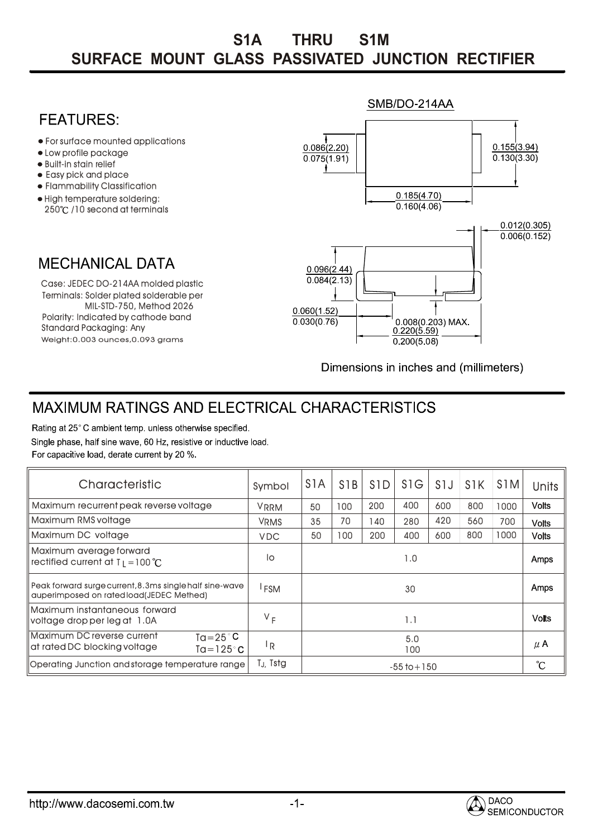## **SURFACE MOUNT GLASS PASSIVATED JUNCTION RECTIFIER S1A THRU S1M**

## SMB/DO-214AA **FFATURFS** For surface mounted applications  $0.086(2.20)$  $0.155(3.94)$ Low profile package  $0.075(1.91)$  $0.130(3.30)$ • Built-in stain relief t Easy pick and place Flammability Classification  $0.185(4.70)$ High temperature soldering:  $\overline{0.160(4.06)}$ 250°C /10 second at terminals  $0.012(0.305)$  $0.006(0.152)$ **MECHANICAL DATA**  $0.096(2.44)$  $0.084(2.13)$ Case: JEDEC DO-214AA molded plastic Terminals: Solder plated solderable per MIL-STD-750, Method 2026  $0.060(1.52)$ Polarity: Indicated by cathode band  $0.030(0.76)$ 0.008(0.203) MAX Standard Packaging: Any  $0.220(5.59)$ Weight:0.003 ounces,0.093 grams  $0.200(5.08)$

Dimensions in inches and (millimeters)

## **MAXIMUM RATINGS AND ELECTRICAL CHARACTERISTICS**

Rating at 25°C ambient temp. unless otherwise specified. Single phase, half sine wave, 60 Hz, resistive or inductive load. For capacitive load, derate current by 20 %.

| Characteristic                                                                                          | Symbol           | S <sub>1</sub> A | S <sub>1</sub> B | S <sub>1</sub> D | S <sub>1</sub> G | S <sub>1</sub> J | S <sub>1</sub> K | S <sub>1</sub> M | <b>Units</b>      |
|---------------------------------------------------------------------------------------------------------|------------------|------------------|------------------|------------------|------------------|------------------|------------------|------------------|-------------------|
| Maximum recurrent peak reverse voltage                                                                  | <b>VRRM</b>      | 50               | 100              | 200              | 400              | 600              | 800              | 1000             | <b>Volts</b>      |
| Maximum RMS voltage                                                                                     | <b>VRMS</b>      | 35               | 70               | 40               | 280              | 420              | 560              | 700              | <b>Volts</b>      |
| Maximum DC voltage                                                                                      | <b>VDC</b>       | 50               | 100              | 200              | 400              | 600              | 800              | 1000             | <b>Volts</b>      |
| Maximum average forward<br>rectified current at $T_1 = 100 °C$                                          | lo               | 1.0              |                  |                  |                  |                  |                  |                  | Amps              |
| Peak forward surge current, 8,3ms single half sine-wave<br>auperimposed on rated load(JEDEC Methed)     | <sup>I</sup> FSM | 30               |                  |                  |                  |                  |                  | Amps             |                   |
| Maximum instantaneous forward<br>voltage drop per leg at 1.0A                                           | $V_F$            | 1.1              |                  |                  |                  |                  |                  |                  | <b>Volts</b>      |
| Maximum DC reverse current<br>$Ta = 25^{\circ}C$<br>at rated DC blocking voltage<br>Ta=125 $^{\circ}$ C | <sup> </sup> R   | 5.0<br>100       |                  |                  |                  |                  |                  |                  | $\mu$ A           |
| Operating Junction and storage temperature range                                                        | TJ, Tstg         | $-55$ to $+150$  |                  |                  |                  |                  |                  |                  | $\rm ^{\circ}\!C$ |